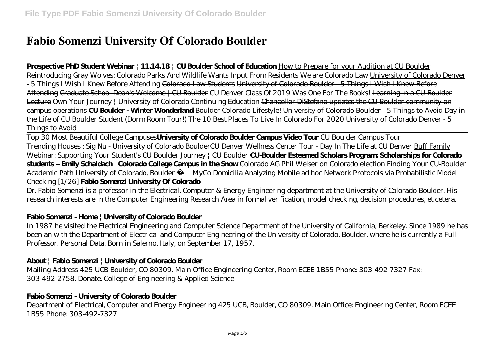# **Fabio Somenzi University Of Colorado Boulder**

#### **Prospective PhD Student Webinar | 11.14.18 | CU Boulder School of Education** How to Prepare for your Audition at CU Boulder

Reintroducing Gray Wolves: Colorado Parks And Wildlife Wants Input From Residents We are Colorado Law University of Colorado Denver - 5 Things I Wish I Knew Before Attending Colorado Law Students University of Colorado Boulder - 5 Things I Wish I Knew Before Attending Graduate School Dean's Welcome | CU Boulder *CU Denver Class Of 2019 Was One For The Books!* Learning in a CU-Boulder Lecture Own Your Journey | University of Colorado Continuing Education Chancellor DiStefano updates the CU Boulder community on campus operations **CU Boulder - Winter Wonderland** Boulder Colorado Lifestyle! University of Colorado Boulder - 5 Things to Avoid Day in the Life of CU Boulder Student (Dorm Room Tour!) The 10 Best Places To Live In Colorado For 2020 University of Colorado Denver - 5 Things to Avoid

Top 30 Most Beautiful College Campuses**University of Colorado Boulder Campus Video Tour** CU Boulder Campus Tour

Trending Houses : Sig Nu - University of Colorado Boulder*CU Denver Wellness Center Tour - Day In The Life at CU Denver* Buff Family Webinar: Supporting Your Student's CU Boulder Journey | CU Boulder **CU-Boulder Esteemed Scholars Program: Scholarships for Colorado students – Emily Schaldach Colorado College Campus in the Snow** *Colorado AG Phil Weiser on Colorado election* Finding Your CU-Boulder Academic Path University of Colorado, Boulder — MyCo Domicilia Analyzing Mobile ad hoc Network Protocols via Probabilistic Model Checking [1/26] **Fabio Somenzi University Of Colorado**

Dr. Fabio Somenzi is a professor in the Electrical, Computer & Energy Engineering department at the University of Colorado Boulder. His research interests are in the Computer Engineering Research Area in formal verification, model checking, decision procedures, et cetera.

## **Fabio Somenzi - Home | University of Colorado Boulder**

In 1987 he visited the Electrical Engineering and Computer Science Department of the University of California, Berkeley. Since 1989 he has been an with the Department of Electrical and Computer Engineering of the University of Colorado, Boulder, where he is currently a Full Professor. Personal Data. Born in Salerno, Italy, on September 17, 1957.

## **About | Fabio Somenzi | University of Colorado Boulder**

Mailing Address 425 UCB Boulder, CO 80309. Main Office Engineering Center, Room ECEE 1B55 Phone: 303-492-7327 Fax: 303-492-2758. Donate. College of Engineering & Applied Science

## **Fabio Somenzi - University of Colorado Boulder**

Department of Electrical, Computer and Energy Engineering 425 UCB, Boulder, CO 80309. Main Office: Engineering Center, Room ECEE 1B55 Phone: 303-492-7327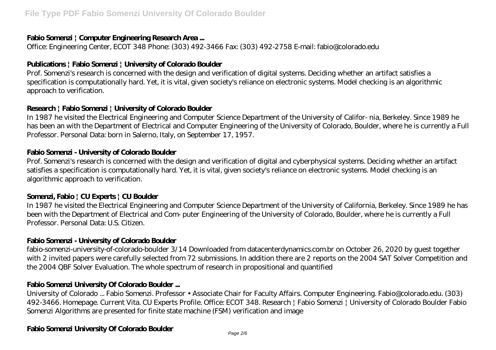#### **Fabio Somenzi | Computer Engineering Research Area ...**

Office: Engineering Center, ECOT 348 Phone: (303) 492-3466 Fax: (303) 492-2758 E-mail: fabio@colorado.edu

## **Publications | Fabio Somenzi | University of Colorado Boulder**

Prof. Somenzi's research is concerned with the design and verification of digital systems. Deciding whether an artifact satisfies a specification is computationally hard. Yet, it is vital, given society's reliance on electronic systems. Model checking is an algorithmic approach to verification.

## **Research | Fabio Somenzi | University of Colorado Boulder**

In 1987 he visited the Electrical Engineering and Computer Science Department of the University of Califor- nia, Berkeley. Since 1989 he has been an with the Department of Electrical and Computer Engineering of the University of Colorado, Boulder, where he is currently a Full Professor. Personal Data: born in Salerno, Italy, on September 17, 1957.

#### **Fabio Somenzi - University of Colorado Boulder**

Prof. Somenzi's research is concerned with the design and verification of digital and cyberphysical systems. Deciding whether an artifact satisfies a specification is computationally hard. Yet, it is vital, given society's reliance on electronic systems. Model checking is an algorithmic approach to verification.

#### **Somenzi, Fabio | CU Experts | CU Boulder**

In 1987 he visited the Electrical Engineering and Computer Science Department of the University of California, Berkeley. Since 1989 he has been with the Department of Electrical and Com- puter Engineering of the University of Colorado, Boulder, where he is currently a Full Professor. Personal Data: U.S. Citizen.

#### **Fabio Somenzi - University of Colorado Boulder**

fabio-somenzi-university-of-colorado-boulder 3/14 Downloaded from datacenterdynamics.com.br on October 26, 2020 by guest together with 2 invited papers were carefully selected from 72 submissions. In addition there are 2 reports on the 2004 SAT Solver Competition and the 2004 QBF Solver Evaluation. The whole spectrum of research in propositional and quantified

#### **Fabio Somenzi University Of Colorado Boulder ...**

University of Colorado ... Fabio Somenzi. Professor • Associate Chair for Faculty Affairs. Computer Engineering. Fabio@colorado.edu. (303) 492-3466. Homepage. Current Vita. CU Experts Profile. Office: ECOT 348. Research | Fabio Somenzi | University of Colorado Boulder Fabio Somenzi Algorithms are presented for finite state machine (FSM) verification and image

#### **Fabio Somenzi University Of Colorado Boulder**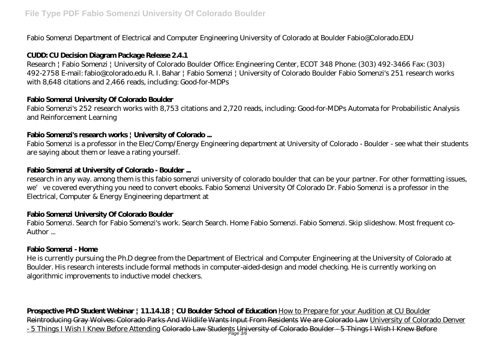Fabio Somenzi Department of Electrical and Computer Engineering University of Colorado at Boulder Fabio@Colorado.EDU

## **CUDD: CU Decision Diagram Package Release 2.4.1**

Research | Fabio Somenzi | University of Colorado Boulder Office: Engineering Center, ECOT 348 Phone: (303) 492-3466 Fax: (303) 492-2758 E-mail: fabio@colorado.edu R. I. Bahar | Fabio Somenzi | University of Colorado Boulder Fabio Somenzi's 251 research works with 8,648 citations and 2,466 reads, including: Good-for-MDPs

## **Fabio Somenzi University Of Colorado Boulder**

Fabio Somenzi's 252 research works with 8,753 citations and 2,720 reads, including: Good-for-MDPs Automata for Probabilistic Analysis and Reinforcement Learning

## **Fabio Somenzi's research works | University of Colorado ...**

Fabio Somenzi is a professor in the Elec/Comp/Energy Engineering department at University of Colorado - Boulder - see what their students are saying about them or leave a rating yourself.

## **Fabio Somenzi at University of Colorado - Boulder ...**

research in any way. among them is this fabio somenzi university of colorado boulder that can be your partner. For other formatting issues, we've covered everything you need to convert ebooks. Fabio Somenzi University Of Colorado Dr. Fabio Somenzi is a professor in the Electrical, Computer & Energy Engineering department at

## **Fabio Somenzi University Of Colorado Boulder**

Fabio Somenzi. Search for Fabio Somenzi's work. Search Search. Home Fabio Somenzi. Fabio Somenzi. Skip slideshow. Most frequent co-Author ...

#### **Fabio Somenzi - Home**

He is currently pursuing the Ph.D degree from the Department of Electrical and Computer Engineering at the University of Colorado at Boulder. His research interests include formal methods in computer-aided-design and model checking. He is currently working on algorithmic improvements to inductive model checkers.

**Prospective PhD Student Webinar | 11.14.18 | CU Boulder School of Education** How to Prepare for your Audition at CU Boulder Reintroducing Gray Wolves: Colorado Parks And Wildlife Wants Input From Residents We are Colorado Law University of Colorado Denver - 5 Things I Wish I Knew Before Attending <del>Colorado Law Students University of Colorado Boulder - 5 Things I Wish I Knew Before</del>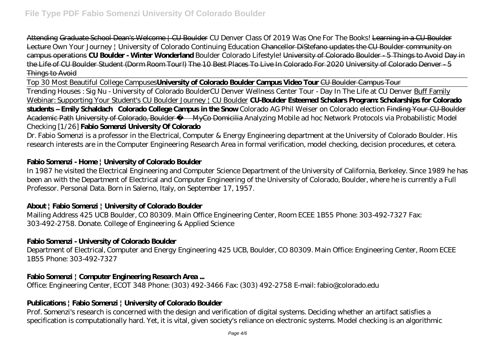Attending Graduate School Dean's Welcome | CU Boulder *CU Denver Class Of 2019 Was One For The Books!* Learning in a CU-Boulder Lecture Own Your Journey | University of Colorado Continuing Education Chancellor DiStefano updates the CU Boulder community on campus operations **CU Boulder - Winter Wonderland** Boulder Colorado Lifestyle! University of Colorado Boulder - 5 Things to Avoid Day in the Life of CU Boulder Student (Dorm Room Tour!) The 10 Best Places To Live In Colorado For 2020 University of Colorado Denver - 5 Things to Avoid

Top 30 Most Beautiful College Campuses**University of Colorado Boulder Campus Video Tour** CU Boulder Campus Tour

Trending Houses : Sig Nu - University of Colorado Boulder*CU Denver Wellness Center Tour - Day In The Life at CU Denver* Buff Family Webinar: Supporting Your Student's CU Boulder Journey | CU Boulder **CU-Boulder Esteemed Scholars Program: Scholarships for Colorado students – Emily Schaldach Colorado College Campus in the Snow** *Colorado AG Phil Weiser on Colorado election* Finding Your CU-Boulder Academic Path University of Colorado, Boulder — MyCo Domicilia Analyzing Mobile ad hoc Network Protocols via Probabilistic Model Checking [1/26] **Fabio Somenzi University Of Colorado**

Dr. Fabio Somenzi is a professor in the Electrical, Computer & Energy Engineering department at the University of Colorado Boulder. His research interests are in the Computer Engineering Research Area in formal verification, model checking, decision procedures, et cetera.

## **Fabio Somenzi - Home | University of Colorado Boulder**

In 1987 he visited the Electrical Engineering and Computer Science Department of the University of California, Berkeley. Since 1989 he has been an with the Department of Electrical and Computer Engineering of the University of Colorado, Boulder, where he is currently a Full Professor. Personal Data. Born in Salerno, Italy, on September 17, 1957.

#### **About | Fabio Somenzi | University of Colorado Boulder**

Mailing Address 425 UCB Boulder, CO 80309. Main Office Engineering Center, Room ECEE 1B55 Phone: 303-492-7327 Fax: 303-492-2758. Donate. College of Engineering & Applied Science

#### **Fabio Somenzi - University of Colorado Boulder**

Department of Electrical, Computer and Energy Engineering 425 UCB, Boulder, CO 80309. Main Office: Engineering Center, Room ECEE 1B55 Phone: 303-492-7327

#### **Fabio Somenzi | Computer Engineering Research Area ...**

Office: Engineering Center, ECOT 348 Phone: (303) 492-3466 Fax: (303) 492-2758 E-mail: fabio@colorado.edu

## **Publications | Fabio Somenzi | University of Colorado Boulder**

Prof. Somenzi's research is concerned with the design and verification of digital systems. Deciding whether an artifact satisfies a specification is computationally hard. Yet, it is vital, given society's reliance on electronic systems. Model checking is an algorithmic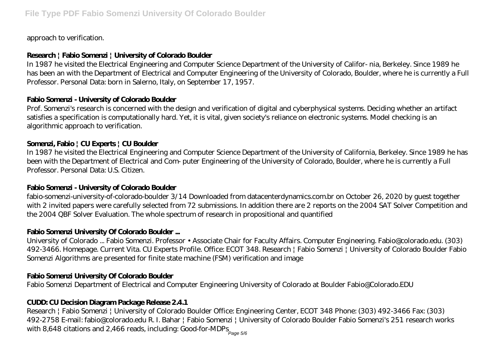approach to verification.

# **Research | Fabio Somenzi | University of Colorado Boulder**

In 1987 he visited the Electrical Engineering and Computer Science Department of the University of Califor- nia, Berkeley. Since 1989 he has been an with the Department of Electrical and Computer Engineering of the University of Colorado, Boulder, where he is currently a Full Professor. Personal Data: born in Salerno, Italy, on September 17, 1957.

## **Fabio Somenzi - University of Colorado Boulder**

Prof. Somenzi's research is concerned with the design and verification of digital and cyberphysical systems. Deciding whether an artifact satisfies a specification is computationally hard. Yet, it is vital, given society's reliance on electronic systems. Model checking is an algorithmic approach to verification.

# **Somenzi, Fabio | CU Experts | CU Boulder**

In 1987 he visited the Electrical Engineering and Computer Science Department of the University of California, Berkeley. Since 1989 he has been with the Department of Electrical and Com- puter Engineering of the University of Colorado, Boulder, where he is currently a Full Professor. Personal Data: U.S. Citizen.

# **Fabio Somenzi - University of Colorado Boulder**

fabio-somenzi-university-of-colorado-boulder 3/14 Downloaded from datacenterdynamics.com.br on October 26, 2020 by guest together with 2 invited papers were carefully selected from 72 submissions. In addition there are 2 reports on the 2004 SAT Solver Competition and the 2004 QBF Solver Evaluation. The whole spectrum of research in propositional and quantified

# **Fabio Somenzi University Of Colorado Boulder ...**

University of Colorado ... Fabio Somenzi. Professor • Associate Chair for Faculty Affairs. Computer Engineering. Fabio@colorado.edu. (303) 492-3466. Homepage. Current Vita. CU Experts Profile. Office: ECOT 348. Research | Fabio Somenzi | University of Colorado Boulder Fabio Somenzi Algorithms are presented for finite state machine (FSM) verification and image

## **Fabio Somenzi University Of Colorado Boulder**

Fabio Somenzi Department of Electrical and Computer Engineering University of Colorado at Boulder Fabio@Colorado.EDU

## **CUDD: CU Decision Diagram Package Release 2.4.1**

Research | Fabio Somenzi | University of Colorado Boulder Office: Engineering Center, ECOT 348 Phone: (303) 492-3466 Fax: (303) 492-2758 E-mail: fabio@colorado.edu R. I. Bahar | Fabio Somenzi | University of Colorado Boulder Fabio Somenzi's 251 research works with 8,648 citations and 2,466 reads, including: Good-for-MDPs  $_{\tiny{\sf Page\,5/6}}$